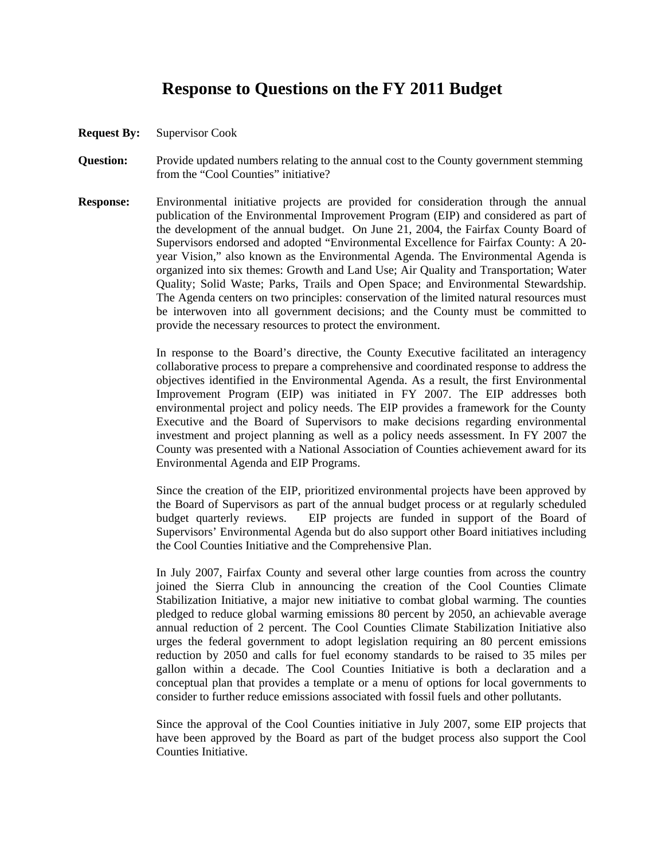## **Response to Questions on the FY 2011 Budget**

- **Request By:** Supervisor Cook
- **Question:** Provide updated numbers relating to the annual cost to the County government stemming from the "Cool Counties" initiative?
- **Response:** Environmental initiative projects are provided for consideration through the annual publication of the Environmental Improvement Program (EIP) and considered as part of the development of the annual budget. On June 21, 2004, the Fairfax County Board of Supervisors endorsed and adopted "Environmental Excellence for Fairfax County: A 20 year Vision," also known as the Environmental Agenda. The Environmental Agenda is organized into six themes: Growth and Land Use; Air Quality and Transportation; Water Quality; Solid Waste; Parks, Trails and Open Space; and Environmental Stewardship. The Agenda centers on two principles: conservation of the limited natural resources must be interwoven into all government decisions; and the County must be committed to provide the necessary resources to protect the environment.

 In response to the Board's directive, the County Executive facilitated an interagency collaborative process to prepare a comprehensive and coordinated response to address the objectives identified in the Environmental Agenda. As a result, the first Environmental Improvement Program (EIP) was initiated in FY 2007. The EIP addresses both environmental project and policy needs. The EIP provides a framework for the County Executive and the Board of Supervisors to make decisions regarding environmental investment and project planning as well as a policy needs assessment. In FY 2007 the County was presented with a National Association of Counties achievement award for its Environmental Agenda and EIP Programs.

 Since the creation of the EIP, prioritized environmental projects have been approved by the Board of Supervisors as part of the annual budget process or at regularly scheduled budget quarterly reviews. EIP projects are funded in support of the Board of Supervisors' Environmental Agenda but do also support other Board initiatives including the Cool Counties Initiative and the Comprehensive Plan.

 In July 2007, Fairfax County and several other large counties from across the country joined the Sierra Club in announcing the creation of the Cool Counties Climate Stabilization Initiative, a major new initiative to combat global warming. The counties pledged to reduce global warming emissions 80 percent by 2050, an achievable average annual reduction of 2 percent. The Cool Counties Climate Stabilization Initiative also urges the federal government to adopt legislation requiring an 80 percent emissions reduction by 2050 and calls for fuel economy standards to be raised to 35 miles per gallon within a decade. The Cool Counties Initiative is both a declaration and a conceptual plan that provides a template or a menu of options for local governments to consider to further reduce emissions associated with fossil fuels and other pollutants.

 Since the approval of the Cool Counties initiative in July 2007, some EIP projects that have been approved by the Board as part of the budget process also support the Cool Counties Initiative.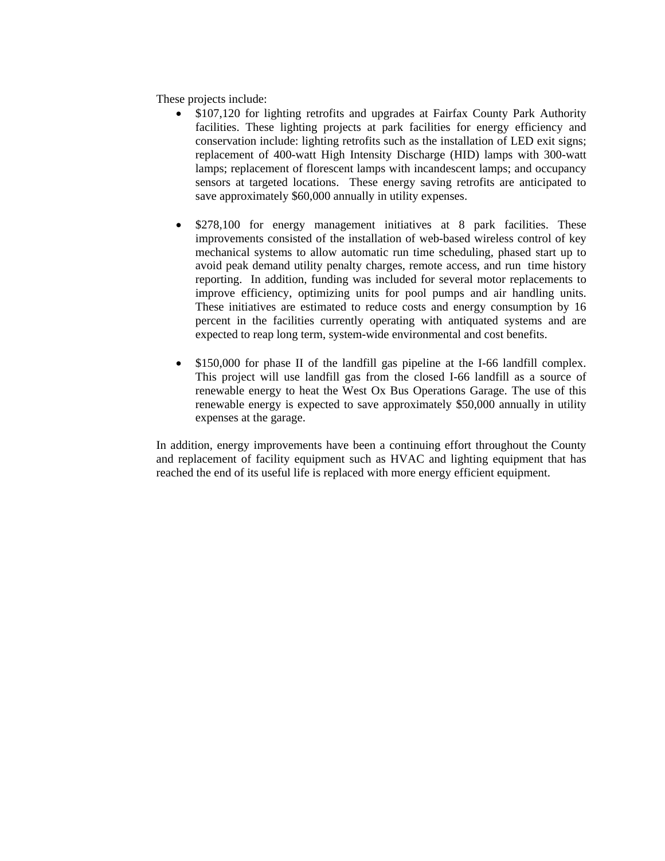These projects include:

- \$107,120 for lighting retrofits and upgrades at Fairfax County Park Authority facilities. These lighting projects at park facilities for energy efficiency and conservation include: lighting retrofits such as the installation of LED exit signs; replacement of 400-watt High Intensity Discharge (HID) lamps with 300-watt lamps; replacement of florescent lamps with incandescent lamps; and occupancy sensors at targeted locations. These energy saving retrofits are anticipated to save approximately \$60,000 annually in utility expenses.
- \$278,100 for energy management initiatives at 8 park facilities. These improvements consisted of the installation of web-based wireless control of key mechanical systems to allow automatic run time scheduling, phased start up to avoid peak demand utility penalty charges, remote access, and run time history reporting. In addition, funding was included for several motor replacements to improve efficiency, optimizing units for pool pumps and air handling units. These initiatives are estimated to reduce costs and energy consumption by 16 percent in the facilities currently operating with antiquated systems and are expected to reap long term, system-wide environmental and cost benefits.
- \$150,000 for phase II of the landfill gas pipeline at the I-66 landfill complex. This project will use landfill gas from the closed I-66 landfill as a source of renewable energy to heat the West Ox Bus Operations Garage. The use of this renewable energy is expected to save approximately \$50,000 annually in utility expenses at the garage.

In addition, energy improvements have been a continuing effort throughout the County and replacement of facility equipment such as HVAC and lighting equipment that has reached the end of its useful life is replaced with more energy efficient equipment.